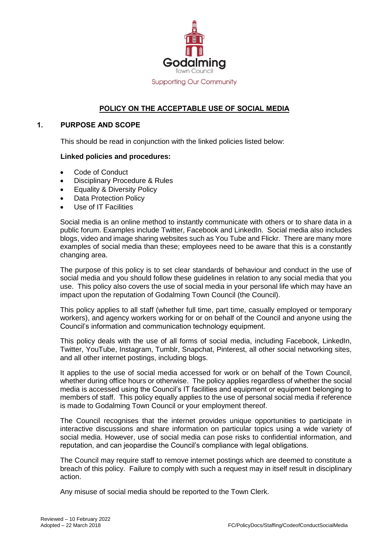

# **POLICY ON THE ACCEPTABLE USE OF SOCIAL MEDIA**

# **1. PURPOSE AND SCOPE**

This should be read in conjunction with the linked policies listed below:

#### **Linked policies and procedures:**

- Code of Conduct
- Disciplinary Procedure & Rules
- Equality & Diversity Policy
- Data Protection Policy
- Use of IT Facilities

Social media is an online method to instantly communicate with others or to share data in a public forum. Examples include Twitter, Facebook and LinkedIn. Social media also includes blogs, video and image sharing websites such as You Tube and Flickr. There are many more examples of social media than these; employees need to be aware that this is a constantly changing area.

The purpose of this policy is to set clear standards of behaviour and conduct in the use of social media and you should follow these guidelines in relation to any social media that you use. This policy also covers the use of social media in your personal life which may have an impact upon the reputation of Godalming Town Council (the Council).

This policy applies to all staff (whether full time, part time, casually employed or temporary workers), and agency workers working for or on behalf of the Council and anyone using the Council's information and communication technology equipment.

This policy deals with the use of all forms of social media, including Facebook, LinkedIn, Twitter, YouTube, Instagram, Tumblr, Snapchat, Pinterest, all other social networking sites, and all other internet postings, including blogs.

It applies to the use of social media accessed for work or on behalf of the Town Council, whether during office hours or otherwise. The policy applies regardless of whether the social media is accessed using the Council's IT facilities and equipment or equipment belonging to members of staff. This policy equally applies to the use of personal social media if reference is made to Godalming Town Council or your employment thereof.

The Council recognises that the internet provides unique opportunities to participate in interactive discussions and share information on particular topics using a wide variety of social media. However, use of social media can pose risks to confidential information, and reputation, and can jeopardise the Council's compliance with legal obligations.

The Council may require staff to remove internet postings which are deemed to constitute a breach of this policy. Failure to comply with such a request may in itself result in disciplinary action.

Any misuse of social media should be reported to the Town Clerk.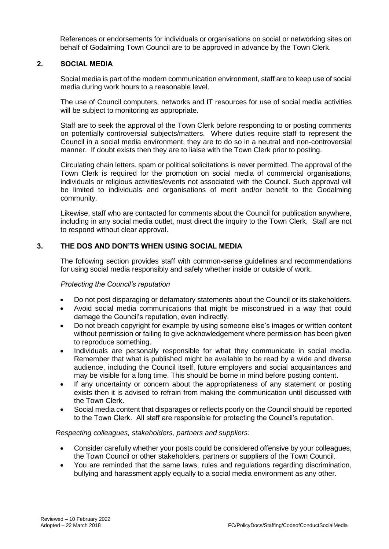References or endorsements for individuals or organisations on social or networking sites on behalf of Godalming Town Council are to be approved in advance by the Town Clerk.

# **2. SOCIAL MEDIA**

Social media is part of the modern communication environment, staff are to keep use of social media during work hours to a reasonable level.

The use of Council computers, networks and IT resources for use of social media activities will be subject to monitoring as appropriate.

Staff are to seek the approval of the Town Clerk before responding to or posting comments on potentially controversial subjects/matters. Where duties require staff to represent the Council in a social media environment, they are to do so in a neutral and non-controversial manner. If doubt exists then they are to liaise with the Town Clerk prior to posting.

Circulating chain letters, spam or political solicitations is never permitted. The approval of the Town Clerk is required for the promotion on social media of commercial organisations, individuals or religious activities/events not associated with the Council. Such approval will be limited to individuals and organisations of merit and/or benefit to the Godalming community.

Likewise, staff who are contacted for comments about the Council for publication anywhere, including in any social media outlet, must direct the inquiry to the Town Clerk. Staff are not to respond without clear approval.

# **3. THE DOS AND DON'TS WHEN USING SOCIAL MEDIA**

The following section provides staff with common-sense guidelines and recommendations for using social media responsibly and safely whether inside or outside of work.

#### *Protecting the Council's reputation*

- Do not post disparaging or defamatory statements about the Council or its stakeholders.
- Avoid social media communications that might be misconstrued in a way that could damage the Council's reputation, even indirectly.
- Do not breach copyright for example by using someone else's images or written content without permission or failing to give acknowledgement where permission has been given to reproduce something.
- Individuals are personally responsible for what they communicate in social media. Remember that what is published might be available to be read by a wide and diverse audience, including the Council itself, future employers and social acquaintances and may be visible for a long time. This should be borne in mind before posting content.
- If any uncertainty or concern about the appropriateness of any statement or posting exists then it is advised to refrain from making the communication until discussed with the Town Clerk.
- Social media content that disparages or reflects poorly on the Council should be reported to the Town Clerk. All staff are responsible for protecting the Council's reputation.

#### *Respecting colleagues, stakeholders, partners and suppliers:*

- Consider carefully whether your posts could be considered offensive by your colleagues, the Town Council or other stakeholders, partners or suppliers of the Town Council.
- You are reminded that the same laws, rules and regulations regarding discrimination, bullying and harassment apply equally to a social media environment as any other.